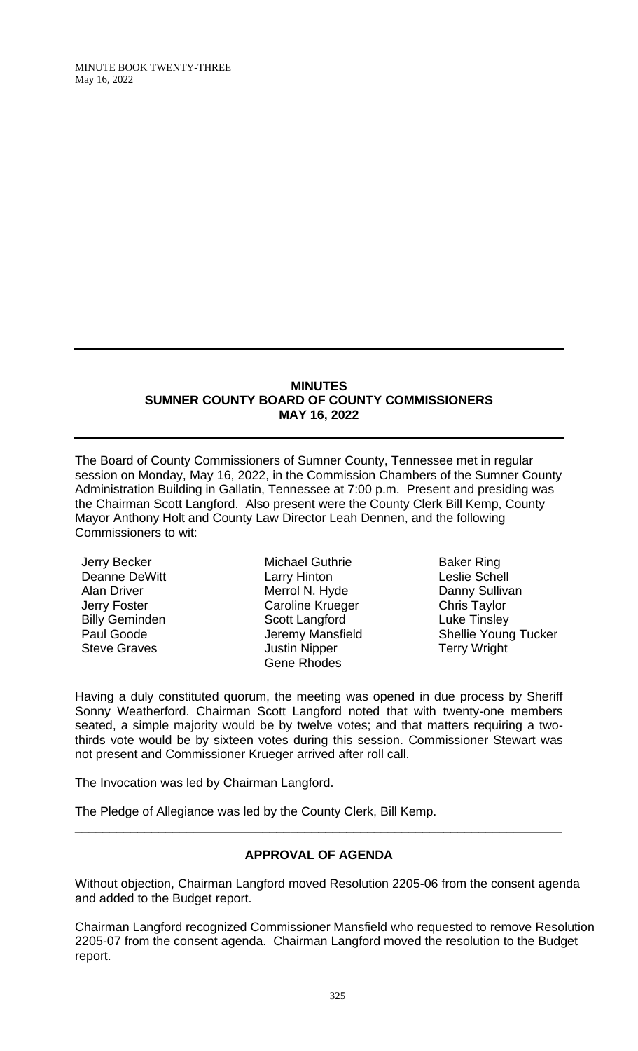### **MINUTES SUMNER COUNTY BOARD OF COUNTY COMMISSIONERS MAY 16, 2022**

The Board of County Commissioners of Sumner County, Tennessee met in regular session on Monday, May 16, 2022, in the Commission Chambers of the Sumner County Administration Building in Gallatin, Tennessee at 7:00 p.m. Present and presiding was the Chairman Scott Langford. Also present were the County Clerk Bill Kemp, County Mayor Anthony Holt and County Law Director Leah Dennen, and the following Commissioners to wit:

Jerry Becker Deanne DeWitt Alan Driver Jerry Foster Billy Geminden Paul Goode Steve Graves

Michael Guthrie Larry Hinton Merrol N. Hyde Caroline Krueger Scott Langford Jeremy Mansfield Justin Nipper Gene Rhodes

Baker Ring Leslie Schell Danny Sullivan Chris Taylor Luke Tinsley Shellie Young Tucker Terry Wright

Having a duly constituted quorum, the meeting was opened in due process by Sheriff Sonny Weatherford. Chairman Scott Langford noted that with twenty-one members seated, a simple majority would be by twelve votes; and that matters requiring a twothirds vote would be by sixteen votes during this session. Commissioner Stewart was not present and Commissioner Krueger arrived after roll call.

The Invocation was led by Chairman Langford.

The Pledge of Allegiance was led by the County Clerk, Bill Kemp.

# **APPROVAL OF AGENDA**

\_\_\_\_\_\_\_\_\_\_\_\_\_\_\_\_\_\_\_\_\_\_\_\_\_\_\_\_\_\_\_\_\_\_\_\_\_\_\_\_\_\_\_\_\_\_\_\_\_\_\_\_\_\_\_\_\_\_\_\_\_\_\_\_\_\_\_\_\_\_

Without objection, Chairman Langford moved Resolution 2205-06 from the consent agenda and added to the Budget report.

Chairman Langford recognized Commissioner Mansfield who requested to remove Resolution 2205-07 from the consent agenda. Chairman Langford moved the resolution to the Budget report.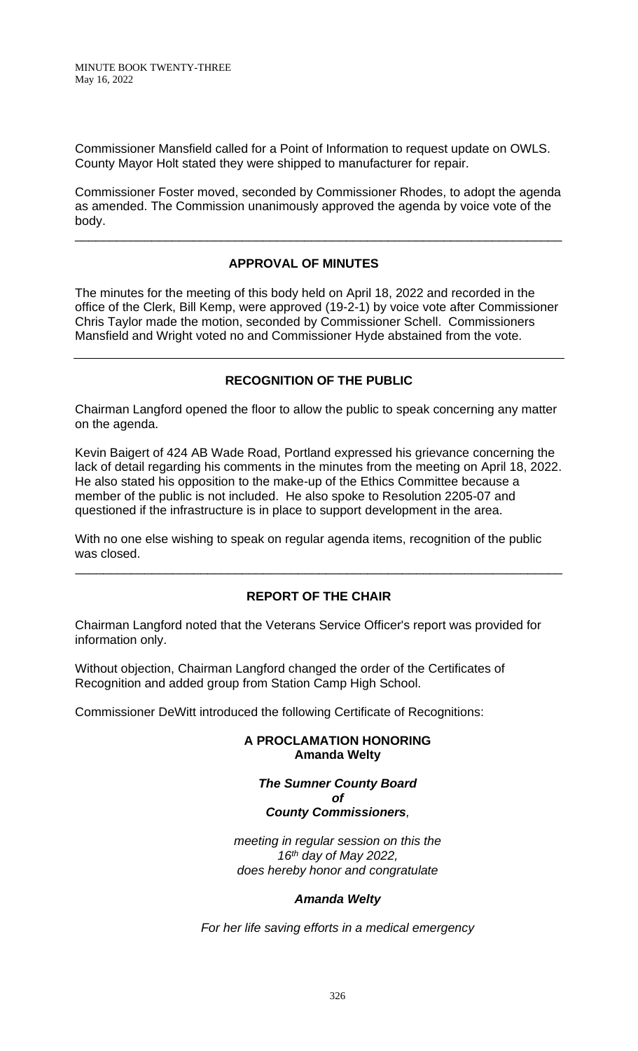Commissioner Mansfield called for a Point of Information to request update on OWLS. County Mayor Holt stated they were shipped to manufacturer for repair.

Commissioner Foster moved, seconded by Commissioner Rhodes, to adopt the agenda as amended. The Commission unanimously approved the agenda by voice vote of the body.

\_\_\_\_\_\_\_\_\_\_\_\_\_\_\_\_\_\_\_\_\_\_\_\_\_\_\_\_\_\_\_\_\_\_\_\_\_\_\_\_\_\_\_\_\_\_\_\_\_\_\_\_\_\_\_\_\_\_\_\_\_\_\_\_\_\_\_\_\_\_

# **APPROVAL OF MINUTES**

The minutes for the meeting of this body held on April 18, 2022 and recorded in the office of the Clerk, Bill Kemp, were approved (19-2-1) by voice vote after Commissioner Chris Taylor made the motion, seconded by Commissioner Schell. Commissioners Mansfield and Wright voted no and Commissioner Hyde abstained from the vote.

## **RECOGNITION OF THE PUBLIC**

Chairman Langford opened the floor to allow the public to speak concerning any matter on the agenda.

Kevin Baigert of 424 AB Wade Road, Portland expressed his grievance concerning the lack of detail regarding his comments in the minutes from the meeting on April 18, 2022. He also stated his opposition to the make-up of the Ethics Committee because a member of the public is not included. He also spoke to Resolution 2205-07 and questioned if the infrastructure is in place to support development in the area.

With no one else wishing to speak on regular agenda items, recognition of the public was closed.

# **REPORT OF THE CHAIR**

\_\_\_\_\_\_\_\_\_\_\_\_\_\_\_\_\_\_\_\_\_\_\_\_\_\_\_\_\_\_\_\_\_\_\_\_\_\_\_\_\_\_\_\_\_\_\_\_\_\_\_\_\_\_\_\_\_\_\_\_\_\_\_\_\_\_\_\_\_\_

Chairman Langford noted that the Veterans Service Officer's report was provided for information only.

Without objection, Chairman Langford changed the order of the Certificates of Recognition and added group from Station Camp High School.

Commissioner DeWitt introduced the following Certificate of Recognitions:

#### **A PROCLAMATION HONORING Amanda Welty**

*The Sumner County Board of*

# *County Commissioners,*

*meeting in regular session on this the 16 th day of May 2022, does hereby honor and congratulate*

#### *Amanda Welty*

*For her life saving efforts in a medical emergency*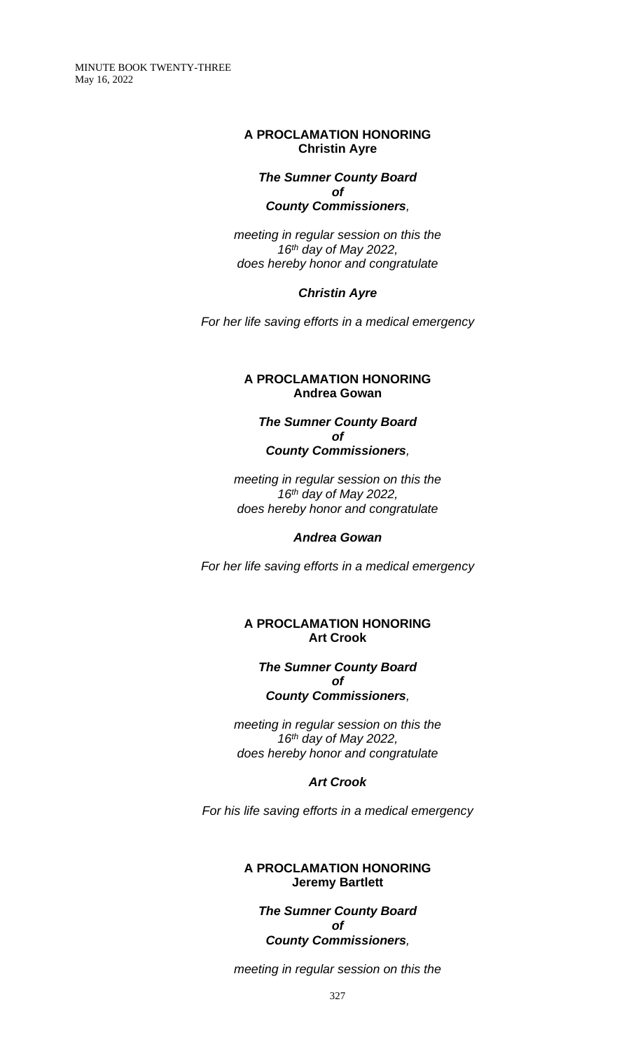#### **A PROCLAMATION HONORING Christin Ayre**

#### *The Sumner County Board of County Commissioners,*

*meeting in regular session on this the 16 th day of May 2022, does hereby honor and congratulate*

#### *Christin Ayre*

*For her life saving efforts in a medical emergency*

### **A PROCLAMATION HONORING Andrea Gowan**

#### *The Sumner County Board of County Commissioners,*

*meeting in regular session on this the 16 th day of May 2022, does hereby honor and congratulate*

## *Andrea Gowan*

*For her life saving efforts in a medical emergency*

### **A PROCLAMATION HONORING Art Crook**

#### *The Sumner County Board of*

#### *County Commissioners,*

*meeting in regular session on this the 16 th day of May 2022, does hereby honor and congratulate*

## *Art Crook*

*For his life saving efforts in a medical emergency*

#### **A PROCLAMATION HONORING Jeremy Bartlett**

*The Sumner County Board of County Commissioners,*

*meeting in regular session on this the*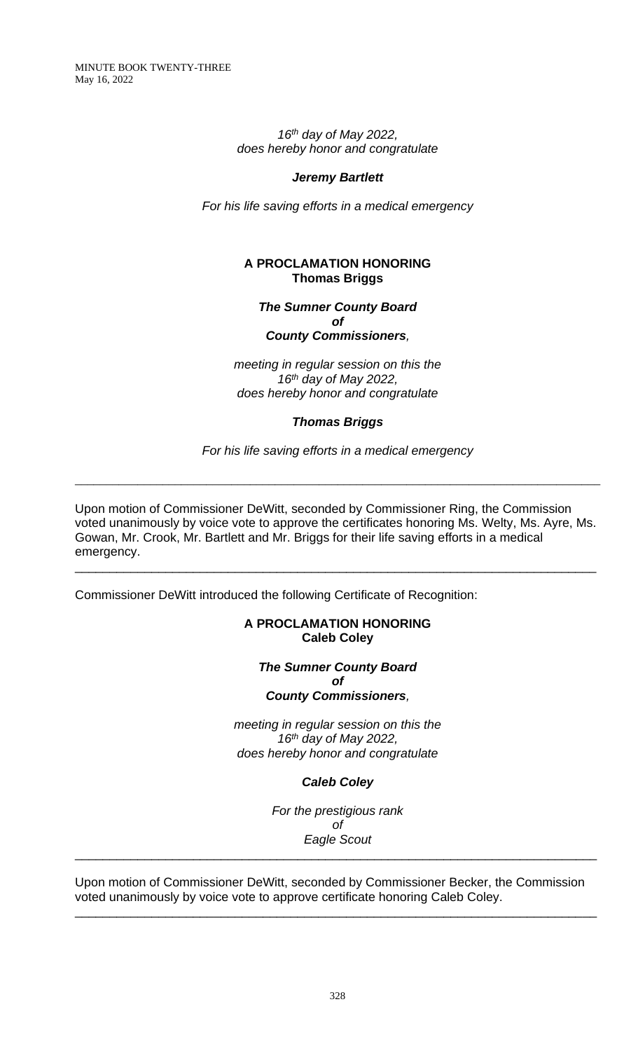> *16 th day of May 2022, does hereby honor and congratulate*

#### *Jeremy Bartlett*

*For his life saving efforts in a medical emergency*

## **A PROCLAMATION HONORING Thomas Briggs**

*The Sumner County Board of County Commissioners,*

*meeting in regular session on this the 16 th day of May 2022, does hereby honor and congratulate*

#### *Thomas Briggs*

*For his life saving efforts in a medical emergency*

\_\_\_\_\_\_\_\_\_\_\_\_\_\_\_\_\_\_\_\_\_\_\_\_\_\_\_\_\_\_\_\_\_\_\_\_\_\_\_\_\_\_\_\_\_\_\_\_\_\_\_\_\_\_\_\_\_\_\_\_\_\_\_\_\_\_\_\_\_\_\_\_\_\_\_\_\_\_\_\_\_\_\_\_

Upon motion of Commissioner DeWitt, seconded by Commissioner Ring, the Commission voted unanimously by voice vote to approve the certificates honoring Ms. Welty, Ms. Ayre, Ms. Gowan, Mr. Crook, Mr. Bartlett and Mr. Briggs for their life saving efforts in a medical emergency.

\_\_\_\_\_\_\_\_\_\_\_\_\_\_\_\_\_\_\_\_\_\_\_\_\_\_\_\_\_\_\_\_\_\_\_\_\_\_\_\_\_\_\_\_\_\_\_\_\_\_\_\_\_\_\_\_\_\_\_\_\_\_\_\_\_\_\_\_\_\_\_\_\_\_\_

Commissioner DeWitt introduced the following Certificate of Recognition:

## **A PROCLAMATION HONORING Caleb Coley**

#### *The Sumner County Board of County Commissioners,*

*meeting in regular session on this the 16 th day of May 2022, does hereby honor and congratulate*

*Caleb Coley*

*For the prestigious rank of Eagle Scout* \_\_\_\_\_\_\_\_\_\_\_\_\_\_\_\_\_\_\_\_\_\_\_\_\_\_\_\_\_\_\_\_\_\_\_\_\_\_\_\_\_\_\_\_\_\_\_\_\_\_\_\_\_\_\_\_\_\_\_\_\_\_\_\_\_\_\_\_\_\_\_\_\_\_\_

Upon motion of Commissioner DeWitt, seconded by Commissioner Becker, the Commission voted unanimously by voice vote to approve certificate honoring Caleb Coley.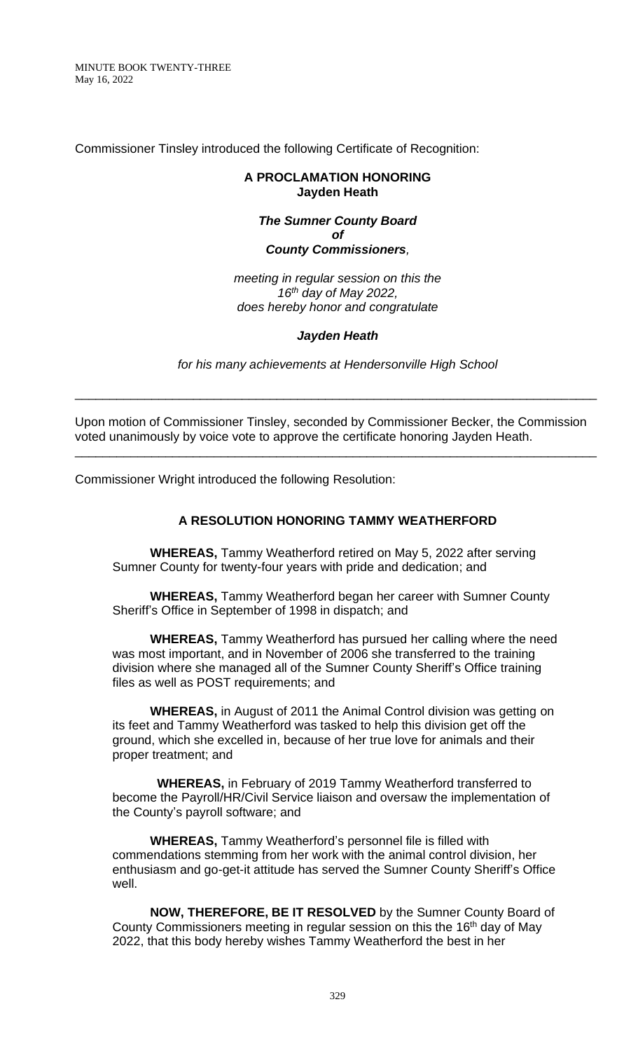Commissioner Tinsley introduced the following Certificate of Recognition:

## **A PROCLAMATION HONORING Jayden Heath**

# *The Sumner County Board of County Commissioners,*

*meeting in regular session on this the 16 th day of May 2022, does hereby honor and congratulate*

# *Jayden Heath*

*for his many achievements at Hendersonville High School*

\_\_\_\_\_\_\_\_\_\_\_\_\_\_\_\_\_\_\_\_\_\_\_\_\_\_\_\_\_\_\_\_\_\_\_\_\_\_\_\_\_\_\_\_\_\_\_\_\_\_\_\_\_\_\_\_\_\_\_\_\_\_\_\_\_\_\_\_\_\_\_\_\_\_\_

Upon motion of Commissioner Tinsley, seconded by Commissioner Becker, the Commission voted unanimously by voice vote to approve the certificate honoring Jayden Heath.

\_\_\_\_\_\_\_\_\_\_\_\_\_\_\_\_\_\_\_\_\_\_\_\_\_\_\_\_\_\_\_\_\_\_\_\_\_\_\_\_\_\_\_\_\_\_\_\_\_\_\_\_\_\_\_\_\_\_\_\_\_\_\_\_\_\_\_\_\_\_\_\_\_\_\_

Commissioner Wright introduced the following Resolution:

## **A RESOLUTION HONORING TAMMY WEATHERFORD**

**WHEREAS,** Tammy Weatherford retired on May 5, 2022 after serving Sumner County for twenty-four years with pride and dedication; and

**WHEREAS,** Tammy Weatherford began her career with Sumner County Sheriff's Office in September of 1998 in dispatch; and

**WHEREAS,** Tammy Weatherford has pursued her calling where the need was most important, and in November of 2006 she transferred to the training division where she managed all of the Sumner County Sheriff's Office training files as well as POST requirements; and

**WHEREAS,** in August of 2011 the Animal Control division was getting on its feet and Tammy Weatherford was tasked to help this division get off the ground, which she excelled in, because of her true love for animals and their proper treatment; and

**WHEREAS,** in February of 2019 Tammy Weatherford transferred to become the Payroll/HR/Civil Service liaison and oversaw the implementation of the County's payroll software; and

**WHEREAS,** Tammy Weatherford's personnel file is filled with commendations stemming from her work with the animal control division, her enthusiasm and go-get-it attitude has served the Sumner County Sheriff's Office well.

**NOW, THEREFORE, BE IT RESOLVED** by the Sumner County Board of County Commissioners meeting in regular session on this the 16<sup>th</sup> day of May 2022, that this body hereby wishes Tammy Weatherford the best in her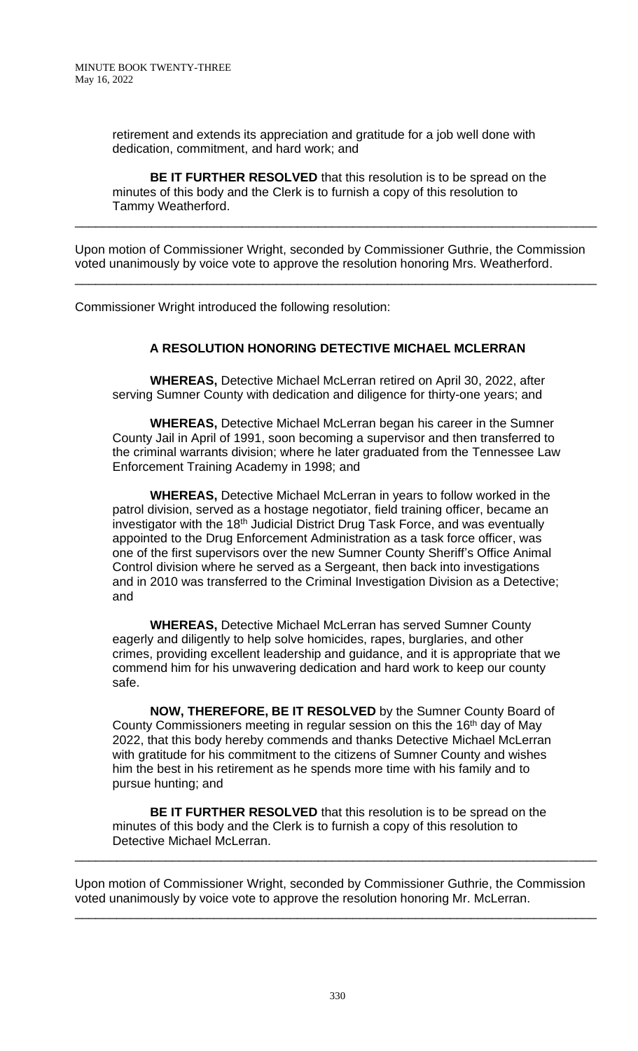retirement and extends its appreciation and gratitude for a job well done with dedication, commitment, and hard work; and

**BE IT FURTHER RESOLVED** that this resolution is to be spread on the minutes of this body and the Clerk is to furnish a copy of this resolution to Tammy Weatherford.

\_\_\_\_\_\_\_\_\_\_\_\_\_\_\_\_\_\_\_\_\_\_\_\_\_\_\_\_\_\_\_\_\_\_\_\_\_\_\_\_\_\_\_\_\_\_\_\_\_\_\_\_\_\_\_\_\_\_\_\_\_\_\_\_\_\_\_\_\_\_\_\_\_\_\_

Upon motion of Commissioner Wright, seconded by Commissioner Guthrie, the Commission voted unanimously by voice vote to approve the resolution honoring Mrs. Weatherford.

\_\_\_\_\_\_\_\_\_\_\_\_\_\_\_\_\_\_\_\_\_\_\_\_\_\_\_\_\_\_\_\_\_\_\_\_\_\_\_\_\_\_\_\_\_\_\_\_\_\_\_\_\_\_\_\_\_\_\_\_\_\_\_\_\_\_\_\_\_\_\_\_\_\_\_

Commissioner Wright introduced the following resolution:

# **A RESOLUTION HONORING DETECTIVE MICHAEL MCLERRAN**

**WHEREAS,** Detective Michael McLerran retired on April 30, 2022, after serving Sumner County with dedication and diligence for thirty-one years; and

**WHEREAS,** Detective Michael McLerran began his career in the Sumner County Jail in April of 1991, soon becoming a supervisor and then transferred to the criminal warrants division; where he later graduated from the Tennessee Law Enforcement Training Academy in 1998; and

**WHEREAS,** Detective Michael McLerran in years to follow worked in the patrol division, served as a hostage negotiator, field training officer, became an investigator with the 18<sup>th</sup> Judicial District Drug Task Force, and was eventually appointed to the Drug Enforcement Administration as a task force officer, was one of the first supervisors over the new Sumner County Sheriff's Office Animal Control division where he served as a Sergeant, then back into investigations and in 2010 was transferred to the Criminal Investigation Division as a Detective; and

**WHEREAS,** Detective Michael McLerran has served Sumner County eagerly and diligently to help solve homicides, rapes, burglaries, and other crimes, providing excellent leadership and guidance, and it is appropriate that we commend him for his unwavering dedication and hard work to keep our county safe.

**NOW, THEREFORE, BE IT RESOLVED** by the Sumner County Board of County Commissioners meeting in regular session on this the 16<sup>th</sup> day of May 2022, that this body hereby commends and thanks Detective Michael McLerran with gratitude for his commitment to the citizens of Sumner County and wishes him the best in his retirement as he spends more time with his family and to pursue hunting; and

**BE IT FURTHER RESOLVED** that this resolution is to be spread on the minutes of this body and the Clerk is to furnish a copy of this resolution to Detective Michael McLerran.

Upon motion of Commissioner Wright, seconded by Commissioner Guthrie, the Commission voted unanimously by voice vote to approve the resolution honoring Mr. McLerran.

\_\_\_\_\_\_\_\_\_\_\_\_\_\_\_\_\_\_\_\_\_\_\_\_\_\_\_\_\_\_\_\_\_\_\_\_\_\_\_\_\_\_\_\_\_\_\_\_\_\_\_\_\_\_\_\_\_\_\_\_\_\_\_\_\_\_\_\_\_\_\_\_\_\_\_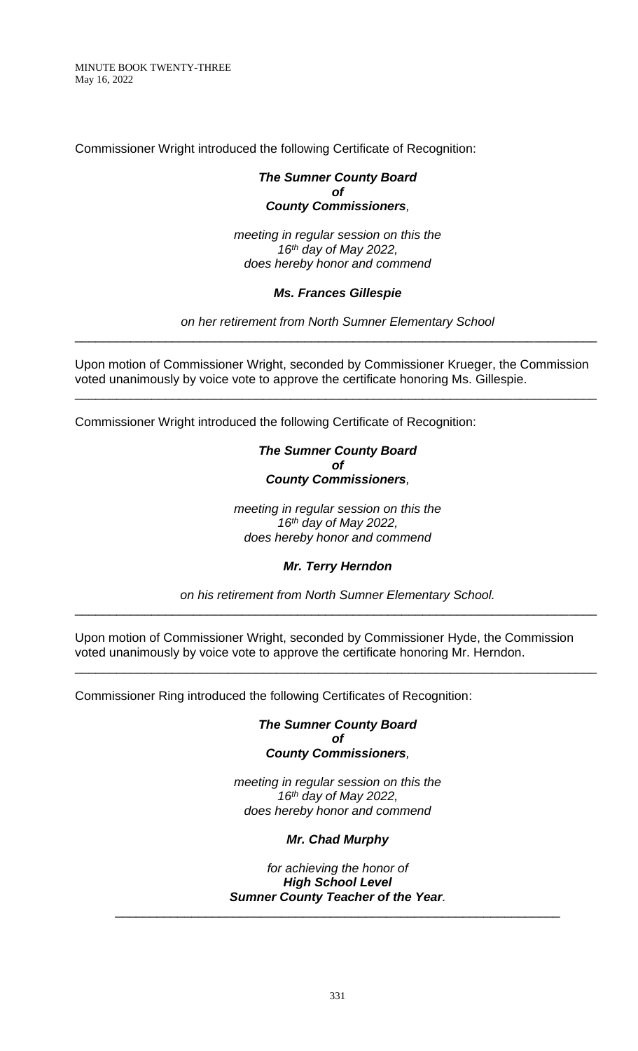Commissioner Wright introduced the following Certificate of Recognition:

#### *The Sumner County Board of County Commissioners,*

*meeting in regular session on this the 16 th day of May 2022, does hereby honor and commend*

## *Ms. Frances Gillespie*

*on her retirement from North Sumner Elementary School* \_\_\_\_\_\_\_\_\_\_\_\_\_\_\_\_\_\_\_\_\_\_\_\_\_\_\_\_\_\_\_\_\_\_\_\_\_\_\_\_\_\_\_\_\_\_\_\_\_\_\_\_\_\_\_\_\_\_\_\_\_\_\_\_\_\_\_\_\_\_\_\_\_\_\_

Upon motion of Commissioner Wright, seconded by Commissioner Krueger, the Commission voted unanimously by voice vote to approve the certificate honoring Ms. Gillespie.

\_\_\_\_\_\_\_\_\_\_\_\_\_\_\_\_\_\_\_\_\_\_\_\_\_\_\_\_\_\_\_\_\_\_\_\_\_\_\_\_\_\_\_\_\_\_\_\_\_\_\_\_\_\_\_\_\_\_\_\_\_\_\_\_\_\_\_\_\_\_\_\_\_\_\_

Commissioner Wright introduced the following Certificate of Recognition:

### *The Sumner County Board of County Commissioners,*

*meeting in regular session on this the 16 th day of May 2022, does hereby honor and commend*

*Mr. Terry Herndon*

*on his retirement from North Sumner Elementary School.* \_\_\_\_\_\_\_\_\_\_\_\_\_\_\_\_\_\_\_\_\_\_\_\_\_\_\_\_\_\_\_\_\_\_\_\_\_\_\_\_\_\_\_\_\_\_\_\_\_\_\_\_\_\_\_\_\_\_\_\_\_\_\_\_\_\_\_\_\_\_\_\_\_\_\_

Upon motion of Commissioner Wright, seconded by Commissioner Hyde, the Commission voted unanimously by voice vote to approve the certificate honoring Mr. Herndon.

\_\_\_\_\_\_\_\_\_\_\_\_\_\_\_\_\_\_\_\_\_\_\_\_\_\_\_\_\_\_\_\_\_\_\_\_\_\_\_\_\_\_\_\_\_\_\_\_\_\_\_\_\_\_\_\_\_\_\_\_\_\_\_\_\_\_\_\_\_\_\_\_\_\_\_

Commissioner Ring introduced the following Certificates of Recognition:

*The Sumner County Board of County Commissioners,*

*meeting in regular session on this the 16th day of May 2022, does hereby honor and commend*

#### *Mr. Chad Murphy*

*for achieving the honor of High School Level Sumner County Teacher of the Year.*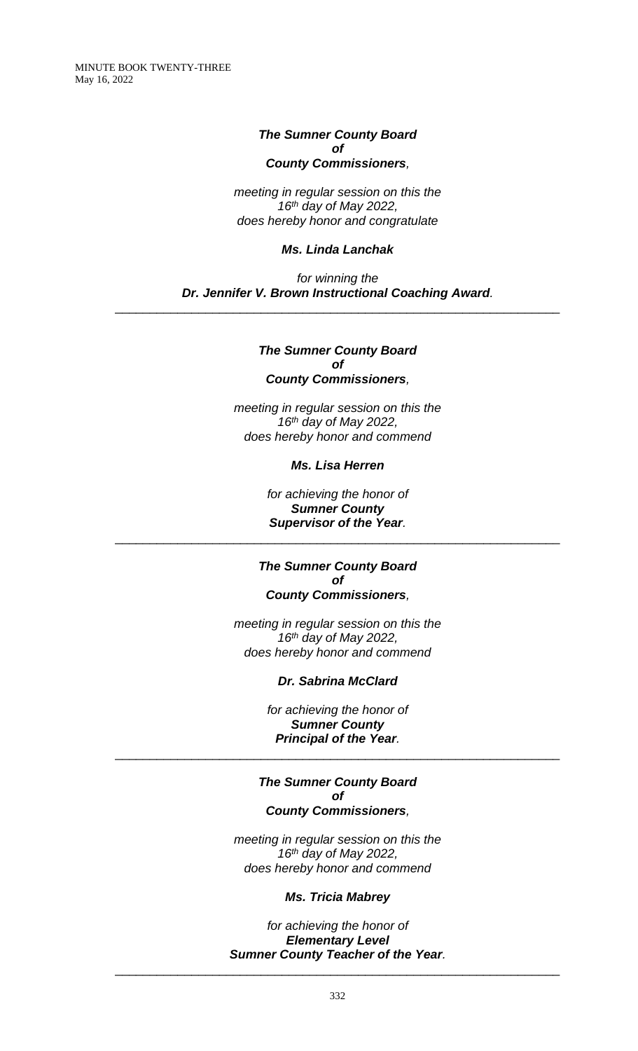# *The Sumner County Board of County Commissioners,*

*meeting in regular session on this the 16 th day of May 2022, does hereby honor and congratulate*

## *Ms. Linda Lanchak*

*for winning the Dr. Jennifer V. Brown Instructional Coaching Award.*

\_\_\_\_\_\_\_\_\_\_\_\_\_\_\_\_\_\_\_\_\_\_\_\_\_\_\_\_\_\_\_\_\_\_\_\_\_\_\_\_\_\_\_\_\_\_\_\_\_\_\_\_\_\_\_\_\_\_\_\_\_\_\_\_

#### *The Sumner County Board of County Commissioners,*

*meeting in regular session on this the 16 th day of May 2022, does hereby honor and commend*

*Ms. Lisa Herren*

*for achieving the honor of Sumner County Supervisor of the Year.* \_\_\_\_\_\_\_\_\_\_\_\_\_\_\_\_\_\_\_\_\_\_\_\_\_\_\_\_\_\_\_\_\_\_\_\_\_\_\_\_\_\_\_\_\_\_\_\_\_\_\_\_\_\_\_\_\_\_\_\_\_\_\_\_

> *The Sumner County Board of County Commissioners,*

*meeting in regular session on this the 16 th day of May 2022, does hereby honor and commend*

*Dr. Sabrina McClard*

*for achieving the honor of Sumner County Principal of the Year.*

\_\_\_\_\_\_\_\_\_\_\_\_\_\_\_\_\_\_\_\_\_\_\_\_\_\_\_\_\_\_\_\_\_\_\_\_\_\_\_\_\_\_\_\_\_\_\_\_\_\_\_\_\_\_\_\_\_\_\_\_\_\_\_\_

#### *The Sumner County Board of County Commissioners,*

*meeting in regular session on this the 16 th day of May 2022, does hereby honor and commend*

# *Ms. Tricia Mabrey*

*for achieving the honor of Elementary Level Sumner County Teacher of the Year.*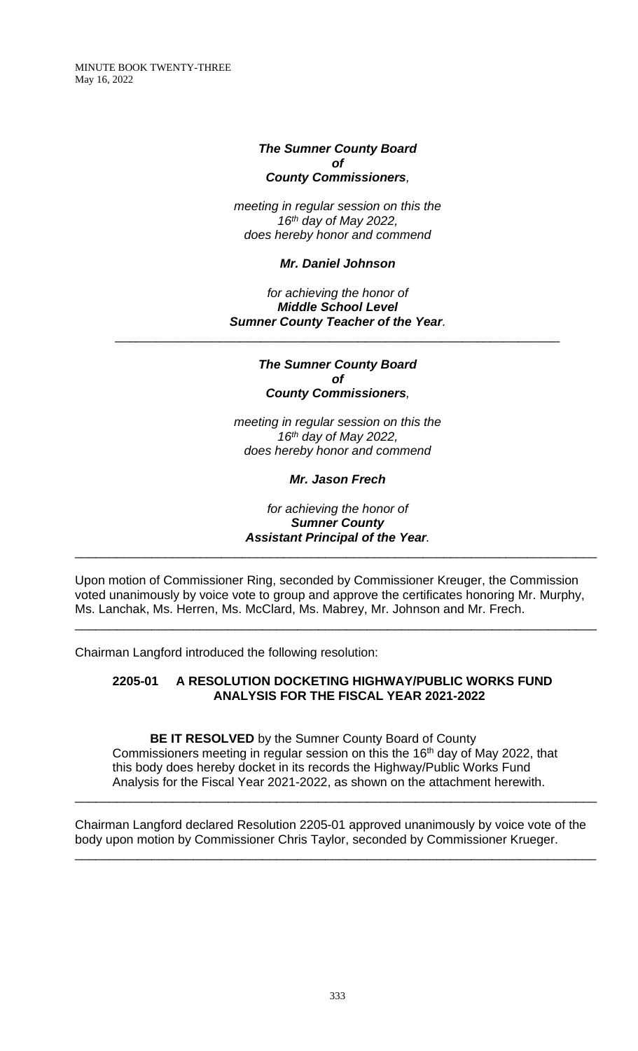#### *The Sumner County Board of County Commissioners,*

*meeting in regular session on this the 16 th day of May 2022, does hereby honor and commend*

### *Mr. Daniel Johnson*

*for achieving the honor of Middle School Level Sumner County Teacher of the Year.*

\_\_\_\_\_\_\_\_\_\_\_\_\_\_\_\_\_\_\_\_\_\_\_\_\_\_\_\_\_\_\_\_\_\_\_\_\_\_\_\_\_\_\_\_\_\_\_\_\_\_\_\_\_\_\_\_\_\_\_\_\_\_\_\_

#### *The Sumner County Board of County Commissioners,*

*meeting in regular session on this the 16th day of May 2022, does hereby honor and commend*

*Mr. Jason Frech*

*for achieving the honor of Sumner County Assistant Principal of the Year.*

\_\_\_\_\_\_\_\_\_\_\_\_\_\_\_\_\_\_\_\_\_\_\_\_\_\_\_\_\_\_\_\_\_\_\_\_\_\_\_\_\_\_\_\_\_\_\_\_\_\_\_\_\_\_\_\_\_\_\_\_\_\_\_\_\_\_\_\_\_\_\_\_\_\_\_

Upon motion of Commissioner Ring, seconded by Commissioner Kreuger, the Commission voted unanimously by voice vote to group and approve the certificates honoring Mr. Murphy, Ms. Lanchak, Ms. Herren, Ms. McClard, Ms. Mabrey, Mr. Johnson and Mr. Frech.

\_\_\_\_\_\_\_\_\_\_\_\_\_\_\_\_\_\_\_\_\_\_\_\_\_\_\_\_\_\_\_\_\_\_\_\_\_\_\_\_\_\_\_\_\_\_\_\_\_\_\_\_\_\_\_\_\_\_\_\_\_\_\_\_\_\_\_\_\_\_\_\_\_\_\_

Chairman Langford introduced the following resolution:

# **2205-01 A RESOLUTION DOCKETING HIGHWAY/PUBLIC WORKS FUND ANALYSIS FOR THE FISCAL YEAR 2021-2022**

**BE IT RESOLVED** by the Sumner County Board of County Commissioners meeting in regular session on this the 16<sup>th</sup> day of May 2022, that this body does hereby docket in its records the Highway/Public Works Fund Analysis for the Fiscal Year 2021-2022, as shown on the attachment herewith.

\_\_\_\_\_\_\_\_\_\_\_\_\_\_\_\_\_\_\_\_\_\_\_\_\_\_\_\_\_\_\_\_\_\_\_\_\_\_\_\_\_\_\_\_\_\_\_\_\_\_\_\_\_\_\_\_\_\_\_\_\_\_\_\_\_\_\_\_\_\_\_\_\_\_\_

Chairman Langford declared Resolution 2205-01 approved unanimously by voice vote of the body upon motion by Commissioner Chris Taylor, seconded by Commissioner Krueger.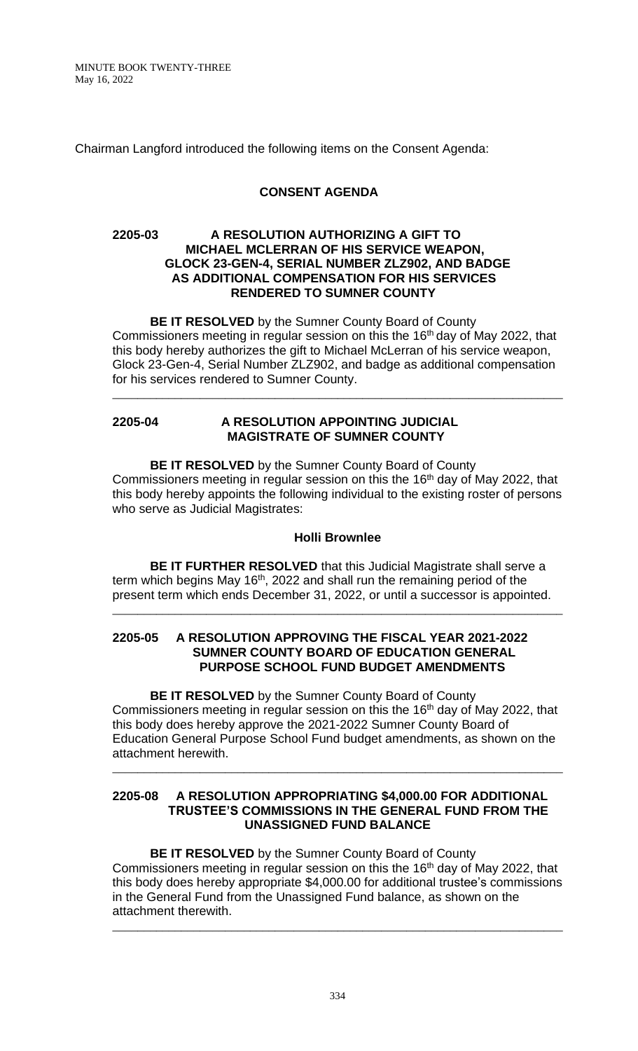Chairman Langford introduced the following items on the Consent Agenda:

## **CONSENT AGENDA**

### **2205-03 A RESOLUTION AUTHORIZING A GIFT TO MICHAEL MCLERRAN OF HIS SERVICE WEAPON, GLOCK 23-GEN-4, SERIAL NUMBER ZLZ902, AND BADGE AS ADDITIONAL COMPENSATION FOR HIS SERVICES RENDERED TO SUMNER COUNTY**

**BE IT RESOLVED** by the Sumner County Board of County Commissioners meeting in regular session on this the 16<sup>th</sup> day of May 2022, that this body hereby authorizes the gift to Michael McLerran of his service weapon, Glock 23-Gen-4, Serial Number ZLZ902, and badge as additional compensation for his services rendered to Sumner County.

\_\_\_\_\_\_\_\_\_\_\_\_\_\_\_\_\_\_\_\_\_\_\_\_\_\_\_\_\_\_\_\_\_\_\_\_\_\_\_\_\_\_\_\_\_\_\_\_\_\_\_\_\_\_\_\_\_\_\_\_\_\_\_\_\_\_\_\_\_\_\_\_

## **2205-04 A RESOLUTION APPOINTING JUDICIAL MAGISTRATE OF SUMNER COUNTY**

**BE IT RESOLVED** by the Sumner County Board of County Commissioners meeting in regular session on this the 16<sup>th</sup> day of May 2022, that this body hereby appoints the following individual to the existing roster of persons who serve as Judicial Magistrates:

# **Holli Brownlee**

**BE IT FURTHER RESOLVED** that this Judicial Magistrate shall serve a term which begins May  $16<sup>th</sup>$ , 2022 and shall run the remaining period of the present term which ends December 31, 2022, or until a successor is appointed.

\_\_\_\_\_\_\_\_\_\_\_\_\_\_\_\_\_\_\_\_\_\_\_\_\_\_\_\_\_\_\_\_\_\_\_\_\_\_\_\_\_\_\_\_\_\_\_\_\_\_\_\_\_\_\_\_\_\_\_\_\_\_\_\_\_\_\_\_\_\_\_\_

#### **2205-05 A RESOLUTION APPROVING THE FISCAL YEAR 2021-2022 SUMNER COUNTY BOARD OF EDUCATION GENERAL PURPOSE SCHOOL FUND BUDGET AMENDMENTS**

**BE IT RESOLVED** by the Sumner County Board of County Commissioners meeting in regular session on this the 16<sup>th</sup> day of May 2022, that this body does hereby approve the 2021-2022 Sumner County Board of Education General Purpose School Fund budget amendments, as shown on the attachment herewith.

\_\_\_\_\_\_\_\_\_\_\_\_\_\_\_\_\_\_\_\_\_\_\_\_\_\_\_\_\_\_\_\_\_\_\_\_\_\_\_\_\_\_\_\_\_\_\_\_\_\_\_\_\_\_\_\_\_\_\_\_\_\_\_\_\_\_\_\_\_\_\_\_

#### **2205-08 A RESOLUTION APPROPRIATING \$4,000.00 FOR ADDITIONAL TRUSTEE'S COMMISSIONS IN THE GENERAL FUND FROM THE UNASSIGNED FUND BALANCE**

**BE IT RESOLVED** by the Sumner County Board of County Commissioners meeting in regular session on this the  $16<sup>th</sup>$  day of May 2022, that this body does hereby appropriate \$4,000.00 for additional trustee's commissions in the General Fund from the Unassigned Fund balance, as shown on the attachment therewith.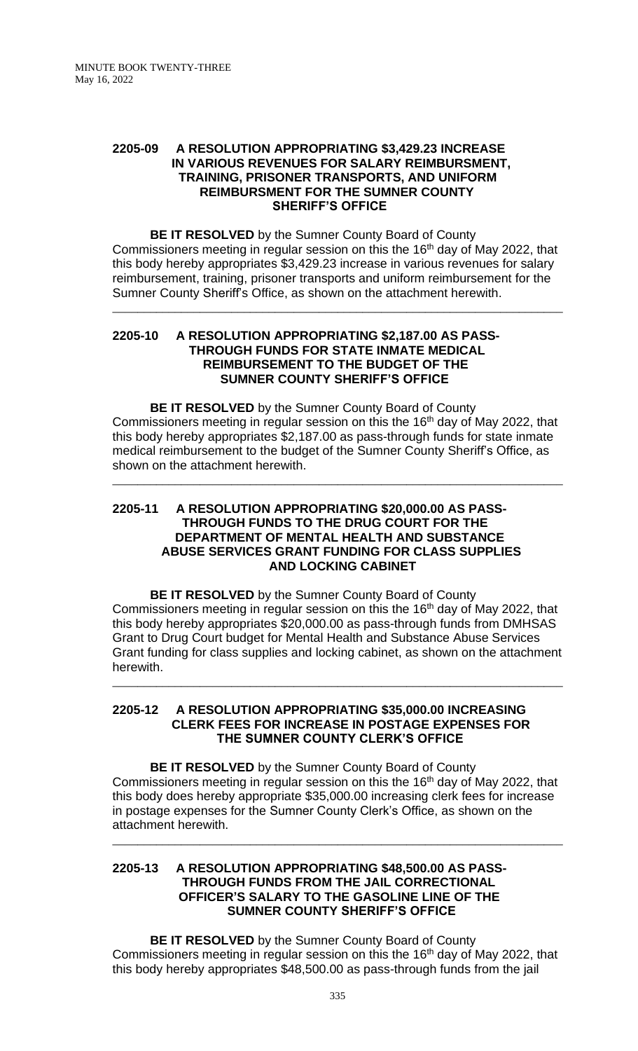#### **2205-09 A RESOLUTION APPROPRIATING \$3,429.23 INCREASE IN VARIOUS REVENUES FOR SALARY REIMBURSMENT, TRAINING, PRISONER TRANSPORTS, AND UNIFORM REIMBURSMENT FOR THE SUMNER COUNTY SHERIFF'S OFFICE**

**BE IT RESOLVED** by the Sumner County Board of County Commissioners meeting in regular session on this the 16<sup>th</sup> day of May 2022, that this body hereby appropriates \$3,429.23 increase in various revenues for salary reimbursement, training, prisoner transports and uniform reimbursement for the Sumner County Sheriff's Office, as shown on the attachment herewith.

\_\_\_\_\_\_\_\_\_\_\_\_\_\_\_\_\_\_\_\_\_\_\_\_\_\_\_\_\_\_\_\_\_\_\_\_\_\_\_\_\_\_\_\_\_\_\_\_\_\_\_\_\_\_\_\_\_\_\_\_\_\_\_\_\_\_\_\_\_\_\_\_

#### **2205-10 A RESOLUTION APPROPRIATING \$2,187.00 AS PASS- THROUGH FUNDS FOR STATE INMATE MEDICAL REIMBURSEMENT TO THE BUDGET OF THE SUMNER COUNTY SHERIFF'S OFFICE**

**BE IT RESOLVED** by the Sumner County Board of County Commissioners meeting in regular session on this the 16<sup>th</sup> day of May 2022, that this body hereby appropriates \$2,187.00 as pass-through funds for state inmate medical reimbursement to the budget of the Sumner County Sheriff's Office, as shown on the attachment herewith.

\_\_\_\_\_\_\_\_\_\_\_\_\_\_\_\_\_\_\_\_\_\_\_\_\_\_\_\_\_\_\_\_\_\_\_\_\_\_\_\_\_\_\_\_\_\_\_\_\_\_\_\_\_\_\_\_\_\_\_\_\_\_\_\_\_\_\_\_\_\_\_\_

## **2205-11 A RESOLUTION APPROPRIATING \$20,000.00 AS PASS- THROUGH FUNDS TO THE DRUG COURT FOR THE DEPARTMENT OF MENTAL HEALTH AND SUBSTANCE ABUSE SERVICES GRANT FUNDING FOR CLASS SUPPLIES AND LOCKING CABINET**

**BE IT RESOLVED** by the Sumner County Board of County Commissioners meeting in regular session on this the 16<sup>th</sup> day of May 2022, that this body hereby appropriates \$20,000.00 as pass-through funds from DMHSAS Grant to Drug Court budget for Mental Health and Substance Abuse Services Grant funding for class supplies and locking cabinet, as shown on the attachment herewith.

\_\_\_\_\_\_\_\_\_\_\_\_\_\_\_\_\_\_\_\_\_\_\_\_\_\_\_\_\_\_\_\_\_\_\_\_\_\_\_\_\_\_\_\_\_\_\_\_\_\_\_\_\_\_\_\_\_\_\_\_\_\_\_\_\_\_\_\_\_\_\_\_

#### **2205-12 A RESOLUTION APPROPRIATING \$35,000.00 INCREASING CLERK FEES FOR INCREASE IN POSTAGE EXPENSES FOR THE SUMNER COUNTY CLERK'S OFFICE**

**BE IT RESOLVED** by the Sumner County Board of County Commissioners meeting in regular session on this the 16<sup>th</sup> day of May 2022, that this body does hereby appropriate \$35,000.00 increasing clerk fees for increase in postage expenses for the Sumner County Clerk's Office, as shown on the attachment herewith.

\_\_\_\_\_\_\_\_\_\_\_\_\_\_\_\_\_\_\_\_\_\_\_\_\_\_\_\_\_\_\_\_\_\_\_\_\_\_\_\_\_\_\_\_\_\_\_\_\_\_\_\_\_\_\_\_\_\_\_\_\_\_\_\_\_\_\_\_\_\_\_\_

### **2205-13 A RESOLUTION APPROPRIATING \$48,500.00 AS PASS- THROUGH FUNDS FROM THE JAIL CORRECTIONAL OFFICER'S SALARY TO THE GASOLINE LINE OF THE SUMNER COUNTY SHERIFF'S OFFICE**

**BE IT RESOLVED** by the Sumner County Board of County Commissioners meeting in regular session on this the 16<sup>th</sup> day of May 2022, that this body hereby appropriates \$48,500.00 as pass-through funds from the jail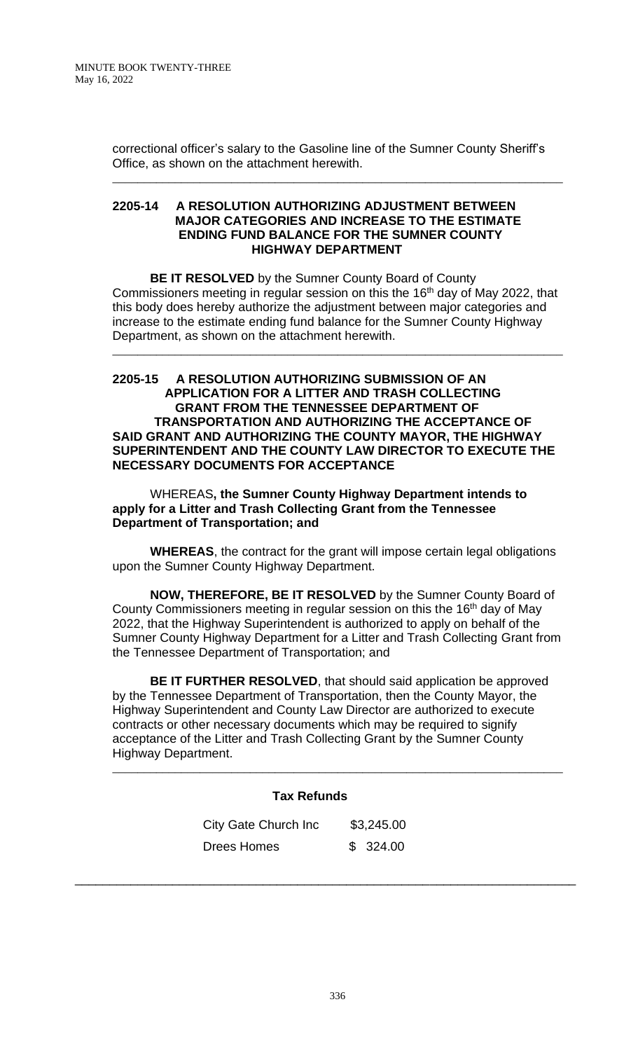correctional officer's salary to the Gasoline line of the Sumner County Sheriff's Office, as shown on the attachment herewith.

\_\_\_\_\_\_\_\_\_\_\_\_\_\_\_\_\_\_\_\_\_\_\_\_\_\_\_\_\_\_\_\_\_\_\_\_\_\_\_\_\_\_\_\_\_\_\_\_\_\_\_\_\_\_\_\_\_\_\_\_\_\_\_\_\_\_\_\_\_\_\_\_

### **2205-14 A RESOLUTION AUTHORIZING ADJUSTMENT BETWEEN MAJOR CATEGORIES AND INCREASE TO THE ESTIMATE ENDING FUND BALANCE FOR THE SUMNER COUNTY HIGHWAY DEPARTMENT**

**BE IT RESOLVED** by the Sumner County Board of County Commissioners meeting in regular session on this the 16<sup>th</sup> day of May 2022, that this body does hereby authorize the adjustment between major categories and increase to the estimate ending fund balance for the Sumner County Highway Department, as shown on the attachment herewith.

\_\_\_\_\_\_\_\_\_\_\_\_\_\_\_\_\_\_\_\_\_\_\_\_\_\_\_\_\_\_\_\_\_\_\_\_\_\_\_\_\_\_\_\_\_\_\_\_\_\_\_\_\_\_\_\_\_\_\_\_\_\_\_\_\_\_\_\_\_\_\_\_

### **2205-15 A RESOLUTION AUTHORIZING SUBMISSION OF AN APPLICATION FOR A LITTER AND TRASH COLLECTING GRANT FROM THE TENNESSEE DEPARTMENT OF TRANSPORTATION AND AUTHORIZING THE ACCEPTANCE OF SAID GRANT AND AUTHORIZING THE COUNTY MAYOR, THE HIGHWAY SUPERINTENDENT AND THE COUNTY LAW DIRECTOR TO EXECUTE THE NECESSARY DOCUMENTS FOR ACCEPTANCE**

WHEREAS**, the Sumner County Highway Department intends to apply for a Litter and Trash Collecting Grant from the Tennessee Department of Transportation; and**

**WHEREAS**, the contract for the grant will impose certain legal obligations upon the Sumner County Highway Department.

**NOW, THEREFORE, BE IT RESOLVED** by the Sumner County Board of County Commissioners meeting in regular session on this the 16<sup>th</sup> day of May 2022, that the Highway Superintendent is authorized to apply on behalf of the Sumner County Highway Department for a Litter and Trash Collecting Grant from the Tennessee Department of Transportation; and

**BE IT FURTHER RESOLVED**, that should said application be approved by the Tennessee Department of Transportation, then the County Mayor, the Highway Superintendent and County Law Director are authorized to execute contracts or other necessary documents which may be required to signify acceptance of the Litter and Trash Collecting Grant by the Sumner County Highway Department.

\_\_\_\_\_\_\_\_\_\_\_\_\_\_\_\_\_\_\_\_\_\_\_\_\_\_\_\_\_\_\_\_\_\_\_\_\_\_\_\_\_\_\_\_\_\_\_\_\_\_\_\_\_\_\_\_\_\_\_\_\_\_\_\_\_\_\_\_\_\_\_\_

# **Tax Refunds**

| City Gate Church Inc | \$3,245.00 |  |
|----------------------|------------|--|
| Drees Homes          | \$324.00   |  |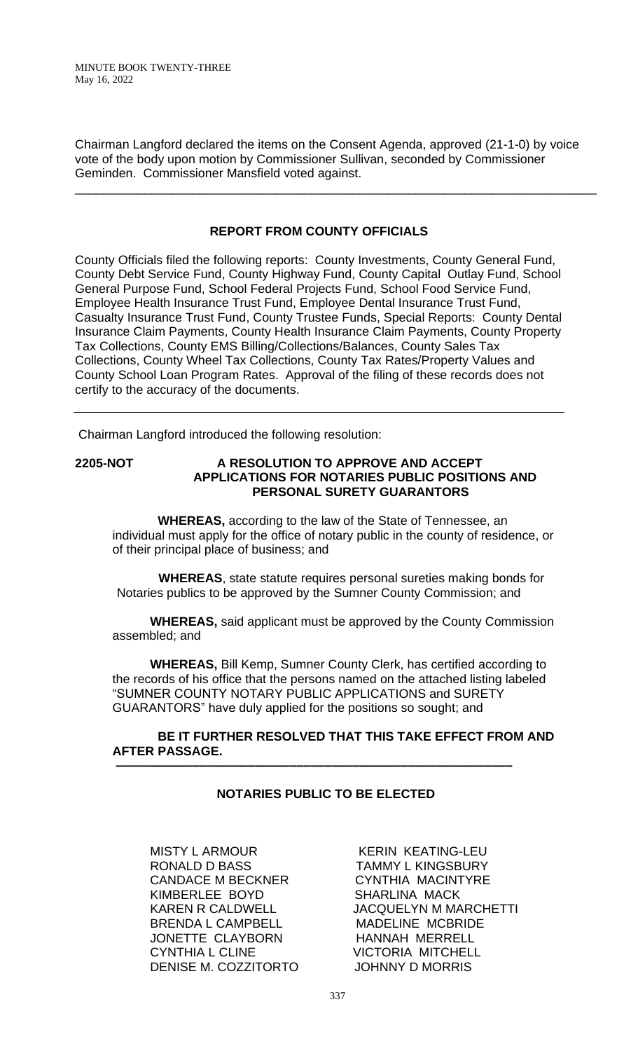Chairman Langford declared the items on the Consent Agenda, approved (21-1-0) by voice vote of the body upon motion by Commissioner Sullivan, seconded by Commissioner Geminden. Commissioner Mansfield voted against.

\_\_\_\_\_\_\_\_\_\_\_\_\_\_\_\_\_\_\_\_\_\_\_\_\_\_\_\_\_\_\_\_\_\_\_\_\_\_\_\_\_\_\_\_\_\_\_\_\_\_\_\_\_\_\_\_\_\_\_\_\_\_\_\_\_\_\_\_\_\_\_\_\_\_\_

# **REPORT FROM COUNTY OFFICIALS**

County Officials filed the following reports: County Investments, County General Fund, County Debt Service Fund, County Highway Fund, County Capital Outlay Fund, School General Purpose Fund, School Federal Projects Fund, School Food Service Fund, Employee Health Insurance Trust Fund, Employee Dental Insurance Trust Fund, Casualty Insurance Trust Fund, County Trustee Funds, Special Reports: County Dental Insurance Claim Payments, County Health Insurance Claim Payments, County Property Tax Collections, County EMS Billing/Collections/Balances, County Sales Tax Collections, County Wheel Tax Collections, County Tax Rates/Property Values and County School Loan Program Rates. Approval of the filing of these records does not certify to the accuracy of the documents.

Chairman Langford introduced the following resolution:

## **2205-NOT A RESOLUTION TO APPROVE AND ACCEPT APPLICATIONS FOR NOTARIES PUBLIC POSITIONS AND PERSONAL SURETY GUARANTORS**

 **WHEREAS,** according to the law of the State of Tennessee, an individual must apply for the office of notary public in the county of residence, or of their principal place of business; and

 **WHEREAS**, state statute requires personal sureties making bonds for Notaries publics to be approved by the Sumner County Commission; and

**WHEREAS,** said applicant must be approved by the County Commission assembled; and

**WHEREAS,** Bill Kemp, Sumner County Clerk, has certified according to the records of his office that the persons named on the attached listing labeled "SUMNER COUNTY NOTARY PUBLIC APPLICATIONS and SURETY GUARANTORS" have duly applied for the positions so sought; and

# **BE IT FURTHER RESOLVED THAT THIS TAKE EFFECT FROM AND AFTER PASSAGE.**

# **NOTARIES PUBLIC TO BE ELECTED**

 **–––––––––––––––––––––––––––––––––––––––––––––––––––––––––**

MISTY L ARMOUR KERIN KEATING-LEU RONALD D BASS TAMMY L KINGSBURY CANDACE M BECKNER CYNTHIA MACINTYRE KIMBERLEE BOYD SHARLINA MACK BRENDA L CAMPBELL MADELINE MCBRIDE JONETTE CLAYBORN HANNAH MERRELL CYNTHIA L CLINE VICTORIA MITCHELL DENISE M. COZZITORTO JOHNNY D MORRIS

KAREN R CALDWELL JACQUELYN M MARCHETTI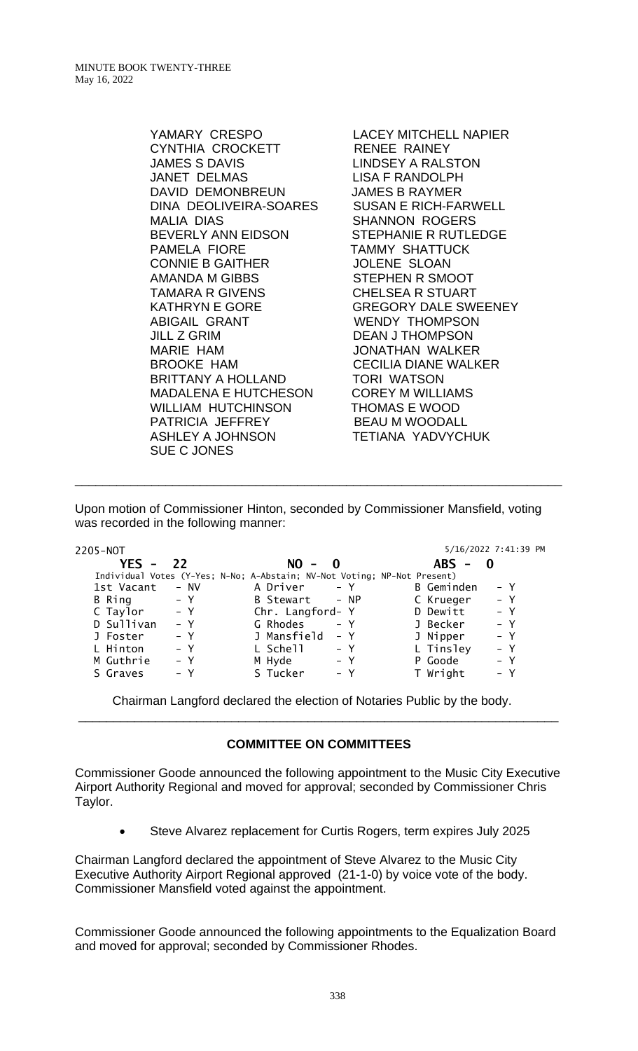YAMARY CRESPO LACEY MITCHELL NAPIER CYNTHIA CROCKETT RENEE RAINEY JAMES S DAVIS LINDSEY A RALSTON JANET DELMAS LISA F RANDOLPH DAVID DEMONBREUN JAMES B RAYMER DINA DEOLIVEIRA-SOARES SUSAN E RICH-FARWELL MALIA DIAS SHANNON ROGERS BEVERLY ANN EIDSON STEPHANIE R RUTLEDGE PAMELA FIORE **TAMMY SHATTUCK** CONNIE B GAITHER JOLENE SLOAN AMANDA M GIBBS STEPHEN R SMOOT TAMARA R GIVENS CHELSEA R STUART ABIGAIL GRANT WENDY THOMPSON JILL Z GRIM DEAN J THOMPSON MARIE HAM JONATHAN WALKER BROOKE HAM CECILIA DIANE WALKER BRITTANY A HOLLAND TORI WATSON MADALENA E HUTCHESON COREY M WILLIAMS WILLIAM HUTCHINSON THOMAS E WOOD PATRICIA JEFFREY BEAU M WOODALL ASHLEY A JOHNSON TETIANA YADVYCHUK SUE C JONES

**GREGORY DALE SWEENEY** 

Upon motion of Commissioner Hinton, seconded by Commissioner Mansfield, voting was recorded in the following manner:

\_\_\_\_\_\_\_\_\_\_\_\_\_\_\_\_\_\_\_\_\_\_\_\_\_\_\_\_\_\_\_\_\_\_\_\_\_\_\_\_\_\_\_\_\_\_\_\_\_\_\_\_\_\_\_\_\_\_\_\_\_\_\_\_\_\_\_\_\_\_

| 2205-NOT      |                                                                          |                  |              |            | 5/16/2022 7:41:39 PM |
|---------------|--------------------------------------------------------------------------|------------------|--------------|------------|----------------------|
| YES - 22      |                                                                          | $NO -$           | $\mathbf{0}$ | $ABS -$    |                      |
|               | Individual Votes (Y-Yes; N-No; A-Abstain; NV-Not Voting; NP-Not Present) |                  |              |            |                      |
| 1st Vacant    | - NV                                                                     | A Driver         | $- Y$        | B Geminden | $- Y$                |
| <b>B</b> Ring | $- Y$                                                                    | B Stewart - NP   |              | C Krueger  | $- Y$                |
| C Taylor      | $- Y$                                                                    | Chr. Langford- Y |              | D Dewitt   | $- Y$                |
| D Sullivan    | $- Y$                                                                    | G Rhodes         | $- Y$        | J Becker   | $- Y$                |
| J Foster      | $- Y$                                                                    | J Mansfield      | $- Y$        | J Nipper   | $- Y$                |
| L Hinton      | $- Y$                                                                    | L Schell         | $- Y$        | L Tinsley  | $- Y$                |
| M Guthrie     | $- Y$                                                                    | M Hyde           | $- Y$        | P Goode    | $- Y$                |
| S Graves      | – Y                                                                      | S Tucker         | $- Y$        | T Wright   | $- Y$                |
|               |                                                                          |                  |              |            |                      |

Chairman Langford declared the election of Notaries Public by the body. \_\_\_\_\_\_\_\_\_\_\_\_\_\_\_\_\_\_\_\_\_\_\_\_\_\_\_\_\_\_\_\_\_\_\_\_\_\_\_\_\_\_\_\_\_\_\_\_\_\_\_\_\_\_\_\_\_\_\_\_\_\_\_\_\_\_\_\_\_

# **COMMITTEE ON COMMITTEES**

Commissioner Goode announced the following appointment to the Music City Executive Airport Authority Regional and moved for approval; seconded by Commissioner Chris Taylor.

• Steve Alvarez replacement for Curtis Rogers, term expires July 2025

Chairman Langford declared the appointment of Steve Alvarez to the Music City Executive Authority Airport Regional approved (21-1-0) by voice vote of the body. Commissioner Mansfield voted against the appointment.

Commissioner Goode announced the following appointments to the Equalization Board and moved for approval; seconded by Commissioner Rhodes.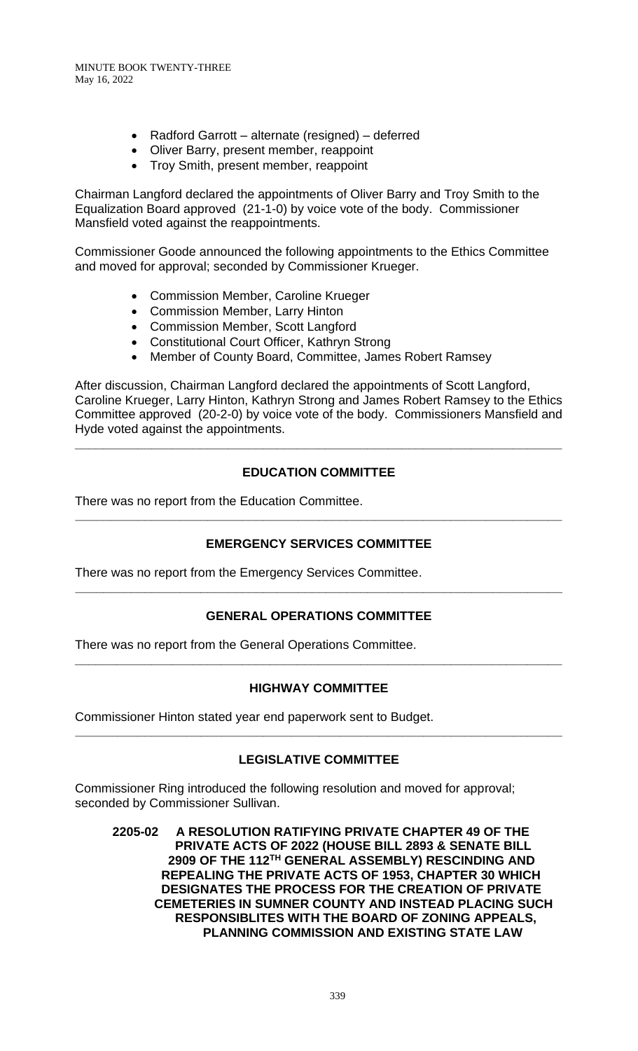- Radford Garrott alternate (resigned) deferred
- Oliver Barry, present member, reappoint
- Troy Smith, present member, reappoint

Chairman Langford declared the appointments of Oliver Barry and Troy Smith to the Equalization Board approved (21-1-0) by voice vote of the body. Commissioner Mansfield voted against the reappointments.

Commissioner Goode announced the following appointments to the Ethics Committee and moved for approval; seconded by Commissioner Krueger.

- Commission Member, Caroline Krueger
- Commission Member, Larry Hinton
- Commission Member, Scott Langford
- Constitutional Court Officer, Kathryn Strong
- Member of County Board, Committee, James Robert Ramsey

After discussion, Chairman Langford declared the appointments of Scott Langford, Caroline Krueger, Larry Hinton, Kathryn Strong and James Robert Ramsey to the Ethics Committee approved (20-2-0) by voice vote of the body. Commissioners Mansfield and Hyde voted against the appointments.

# **EDUCATION COMMITTEE**

**\_\_\_\_\_\_\_\_\_\_\_\_\_\_\_\_\_\_\_\_\_\_\_\_\_\_\_\_\_\_\_\_\_\_\_\_\_\_\_\_\_\_\_\_\_\_\_\_\_\_\_\_\_\_\_\_\_\_\_\_\_\_\_\_\_\_\_\_\_\_**

There was no report from the Education Committee.

# **EMERGENCY SERVICES COMMITTEE**

**\_\_\_\_\_\_\_\_\_\_\_\_\_\_\_\_\_\_\_\_\_\_\_\_\_\_\_\_\_\_\_\_\_\_\_\_\_\_\_\_\_\_\_\_\_\_\_\_\_\_\_\_\_\_\_\_\_\_\_\_\_\_\_\_\_\_\_\_\_\_**

There was no report from the Emergency Services Committee.

# **GENERAL OPERATIONS COMMITTEE**

**\_\_\_\_\_\_\_\_\_\_\_\_\_\_\_\_\_\_\_\_\_\_\_\_\_\_\_\_\_\_\_\_\_\_\_\_\_\_\_\_\_\_\_\_\_\_\_\_\_\_\_\_\_\_\_\_\_\_\_\_\_\_\_\_\_\_\_\_\_\_**

There was no report from the General Operations Committee.

# **HIGHWAY COMMITTEE**

**\_\_\_\_\_\_\_\_\_\_\_\_\_\_\_\_\_\_\_\_\_\_\_\_\_\_\_\_\_\_\_\_\_\_\_\_\_\_\_\_\_\_\_\_\_\_\_\_\_\_\_\_\_\_\_\_\_\_\_\_\_\_\_\_\_\_\_\_\_\_**

Commissioner Hinton stated year end paperwork sent to Budget.

# **LEGISLATIVE COMMITTEE**

**\_\_\_\_\_\_\_\_\_\_\_\_\_\_\_\_\_\_\_\_\_\_\_\_\_\_\_\_\_\_\_\_\_\_\_\_\_\_\_\_\_\_\_\_\_\_\_\_\_\_\_\_\_\_\_\_\_\_\_\_\_\_\_\_\_\_\_\_\_\_**

Commissioner Ring introduced the following resolution and moved for approval; seconded by Commissioner Sullivan.

**2205-02 A RESOLUTION RATIFYING PRIVATE CHAPTER 49 OF THE PRIVATE ACTS OF 2022 (HOUSE BILL 2893 & SENATE BILL 2909 OF THE 112TH GENERAL ASSEMBLY) RESCINDING AND REPEALING THE PRIVATE ACTS OF 1953, CHAPTER 30 WHICH DESIGNATES THE PROCESS FOR THE CREATION OF PRIVATE CEMETERIES IN SUMNER COUNTY AND INSTEAD PLACING SUCH RESPONSIBLITES WITH THE BOARD OF ZONING APPEALS, PLANNING COMMISSION AND EXISTING STATE LAW**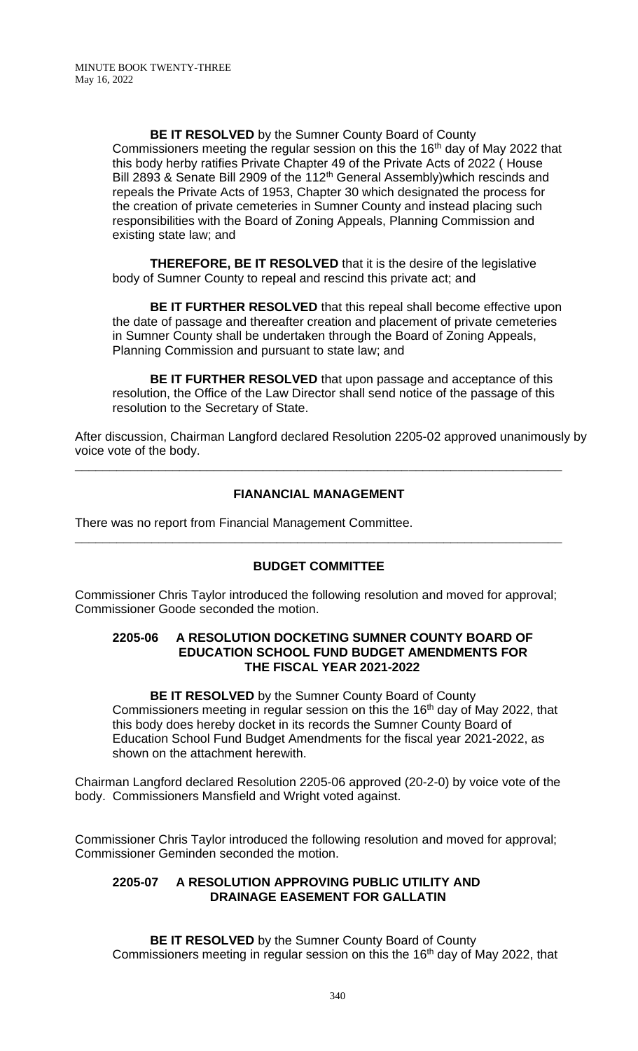**BE IT RESOLVED** by the Sumner County Board of County Commissioners meeting the regular session on this the 16<sup>th</sup> day of May 2022 that this body herby ratifies Private Chapter 49 of the Private Acts of 2022 ( House Bill 2893 & Senate Bill 2909 of the 112<sup>th</sup> General Assembly) which rescinds and repeals the Private Acts of 1953, Chapter 30 which designated the process for the creation of private cemeteries in Sumner County and instead placing such responsibilities with the Board of Zoning Appeals, Planning Commission and existing state law; and

**THEREFORE, BE IT RESOLVED** that it is the desire of the legislative body of Sumner County to repeal and rescind this private act; and

**BE IT FURTHER RESOLVED** that this repeal shall become effective upon the date of passage and thereafter creation and placement of private cemeteries in Sumner County shall be undertaken through the Board of Zoning Appeals, Planning Commission and pursuant to state law; and

**BE IT FURTHER RESOLVED** that upon passage and acceptance of this resolution, the Office of the Law Director shall send notice of the passage of this resolution to the Secretary of State.

After discussion, Chairman Langford declared Resolution 2205-02 approved unanimously by voice vote of the body.

# **FIANANCIAL MANAGEMENT**

**\_\_\_\_\_\_\_\_\_\_\_\_\_\_\_\_\_\_\_\_\_\_\_\_\_\_\_\_\_\_\_\_\_\_\_\_\_\_\_\_\_\_\_\_\_\_\_\_\_\_\_\_\_\_\_\_\_\_\_\_\_\_\_\_\_\_\_\_\_\_**

There was no report from Financial Management Committee.

# **BUDGET COMMITTEE**

**\_\_\_\_\_\_\_\_\_\_\_\_\_\_\_\_\_\_\_\_\_\_\_\_\_\_\_\_\_\_\_\_\_\_\_\_\_\_\_\_\_\_\_\_\_\_\_\_\_\_\_\_\_\_\_\_\_\_\_\_\_\_\_\_\_\_\_\_\_\_**

Commissioner Chris Taylor introduced the following resolution and moved for approval; Commissioner Goode seconded the motion.

#### **2205-06 A RESOLUTION DOCKETING SUMNER COUNTY BOARD OF EDUCATION SCHOOL FUND BUDGET AMENDMENTS FOR THE FISCAL YEAR 2021-2022**

**BE IT RESOLVED** by the Sumner County Board of County Commissioners meeting in regular session on this the 16<sup>th</sup> day of May 2022, that this body does hereby docket in its records the Sumner County Board of Education School Fund Budget Amendments for the fiscal year 2021-2022, as shown on the attachment herewith.

Chairman Langford declared Resolution 2205-06 approved (20-2-0) by voice vote of the body. Commissioners Mansfield and Wright voted against.

Commissioner Chris Taylor introduced the following resolution and moved for approval; Commissioner Geminden seconded the motion.

# **2205-07 A RESOLUTION APPROVING PUBLIC UTILITY AND DRAINAGE EASEMENT FOR GALLATIN**

**BE IT RESOLVED** by the Sumner County Board of County Commissioners meeting in regular session on this the 16<sup>th</sup> day of May 2022, that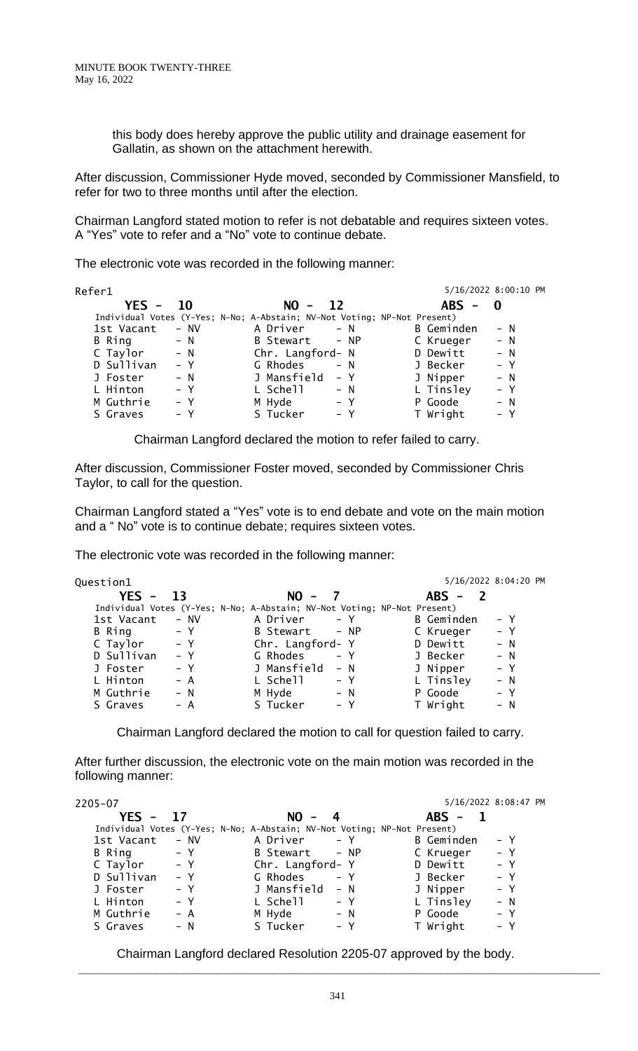this body does hereby approve the public utility and drainage easement for Gallatin, as shown on the attachment herewith.

After discussion, Commissioner Hyde moved, seconded by Commissioner Mansfield, to refer for two to three months until after the election.

Chairman Langford stated motion to refer is not debatable and requires sixteen votes. A "Yes" vote to refer and a "No" vote to continue debate.

The electronic vote was recorded in the following manner:

| Refer1              |                                                                          |            | 5/16/2022 8:00:10 PM |
|---------------------|--------------------------------------------------------------------------|------------|----------------------|
| YFS -<br><b>10</b>  | $NO -$<br><b>12</b>                                                      | $ABS - 0$  |                      |
|                     | Individual Votes (Y-Yes; N-No; A-Abstain; NV-Not Voting; NP-Not Present) |            |                      |
| 1st Vacant<br>- NV  | A Driver<br>$- N$                                                        | B Geminden | $- N$                |
| B Ring<br>$- N$     | B Stewart - NP                                                           | C Krueger  | $- N$                |
| C Taylor<br>$- N$   | Chr. Langford- N                                                         | D Dewitt   | $- N$                |
| D Sullivan<br>$- Y$ | G Rhodes<br>$- N$                                                        | J Becker   | $- Y$                |
| J Foster<br>$- N$   | J Mansfield<br>$- Y$                                                     | J Nipper   | $- N$                |
| L Hinton<br>$- Y$   | L Schell<br>$- N$                                                        | L Tinsley  | $- Y$                |
| M Guthrie<br>– Y    | M Hyde<br>$- Y$                                                          | P Goode    | $- N$                |
| S Graves<br>– Y     | S Tucker<br>$- Y$                                                        | T Wright   | $- Y$                |

Chairman Langford declared the motion to refer failed to carry.

After discussion, Commissioner Foster moved, seconded by Commissioner Chris Taylor, to call for the question.

Chairman Langford stated a "Yes" vote is to end debate and vote on the main motion and a " No" vote is to continue debate; requires sixteen votes.

The electronic vote was recorded in the following manner:

| Question1  |        |                                                                          |       |            | 5/16/2022 8:04:20 PM |
|------------|--------|--------------------------------------------------------------------------|-------|------------|----------------------|
| $YES -$    | - 13   | $NO -$                                                                   |       | $ABS -$    |                      |
|            |        | Individual Votes (Y-Yes; N-No; A-Abstain; NV-Not Voting; NP-Not Present) |       |            |                      |
| 1st Vacant | $-$ NV | A Driver                                                                 | $- Y$ | B Geminden | $- Y$                |
| B Ring     | $- Y$  | B Stewart - NP                                                           |       | C Krueger  | $- Y$                |
| C Taylor   | – Y    | Chr. Langford- Y                                                         |       | D Dewitt   | $- N$                |
| D Sullivan | $- Y$  | G Rhodes                                                                 | $- Y$ | J Becker   | $- N$                |
| J Foster   | $- Y$  | J Mansfield                                                              | $- N$ | J Nipper   | $- Y$                |
| L Hinton   | $- A$  | L Schell                                                                 | – Y   | L Tinsley  | $- N$                |
| M Guthrie  | $- N$  | M Hyde                                                                   | $- N$ | P Goode    | $- Y$                |
| S Graves   | – A    | S Tucker                                                                 | $- Y$ | T Wright   | $- N$                |
|            |        |                                                                          |       |            |                      |

Chairman Langford declared the motion to call for question failed to carry.

After further discussion, the electronic vote on the main motion was recorded in the following manner:

| 2205-07             |                                                                          |            | 5/16/2022 8:08:47 PM |
|---------------------|--------------------------------------------------------------------------|------------|----------------------|
| $YES -$<br>- 17     | $NO - 4$                                                                 | $ABS -$    |                      |
|                     | Individual Votes (Y-Yes; N-No; A-Abstain; NV-Not Voting; NP-Not Present) |            |                      |
| 1st Vacant<br>- NV  | A Driver<br>$- Y$                                                        | B Geminden | – Y                  |
| B Ring<br>– Y       | B Stewart - NP                                                           | C Krueger  | $- Y$                |
| C Taylor<br>– Y     | Chr. Langford- Y                                                         | D Dewitt   | $- Y$                |
| D Sullivan<br>$- Y$ | G Rhodes<br>$- Y$                                                        | J Becker   | $- Y$                |
| J Foster<br>$- Y$   | J Mansfield - N                                                          | J Nipper   | $- Y$                |
| L Hinton<br>$- Y$   | L Schell<br>$- Y$                                                        | L Tinsley  | $- N$                |
| M Guthrie<br>$- A$  | M Hyde<br>$- N$                                                          | P Goode    | $- Y$                |
| S Graves<br>$- N$   | S Tucker<br>$- Y$                                                        | T Wright   | $- Y$                |

Chairman Langford declared Resolution 2205-07 approved by the body.